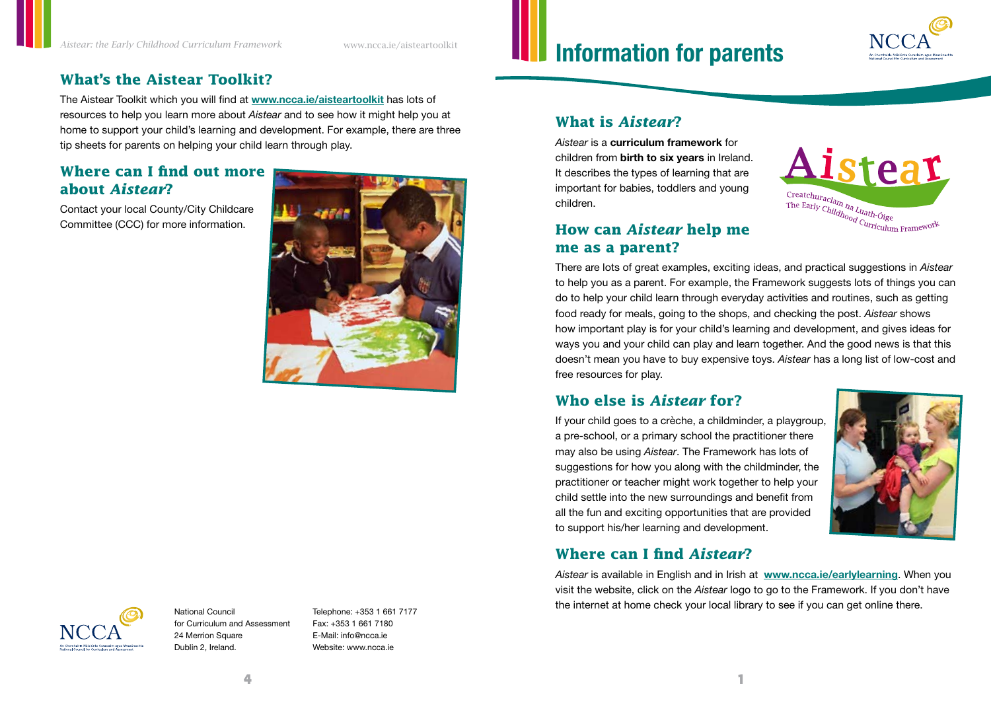# **What's the Aistear Toolkit?**

The Aistear Toolkit which you will find at **www.ncca.ie/aisteartoolkit** has lots of resources to help you learn more about *Aistear* and to see how it might help you at home to support your child's learning and development. For example, there are three tip sheets for parents on helping your child learn through play.

# **Where can I find out more about** *Aistear***?**

Contact your local County/City Childcare Committee (CCC) for more information.



# **Information for parents**



#### **What is** *Aistear***?**

*Aistear* is a **curriculum framework** for children from **birth to six years** in Ireland. It describes the types of learning that are important for babies, toddlers and young children.



### **How can** *Aistear* **help me me as a parent?**

There are lots of great examples, exciting ideas, and practical suggestions in *Aistear* to help you as a parent. For example, the Framework suggests lots of things you can do to help your child learn through everyday activities and routines, such as getting food ready for meals, going to the shops, and checking the post. *Aistear* shows how important play is for your child's learning and development, and gives ideas for ways you and your child can play and learn together. And the good news is that this doesn't mean you have to buy expensive toys. *Aistear* has a long list of low-cost and free resources for play.

#### **Who else is** *Aistear* **for?**

If your child goes to a crèche, a childminder, a playgroup, a pre-school, or a primary school the practitioner there may also be using *Aistear*. The Framework has lots of suggestions for how you along with the childminder, the practitioner or teacher might work together to help your child settle into the new surroundings and benefit from all the fun and exciting opportunities that are provided to support his/her learning and development.



#### **Where can I find** *Aistear***?**

*Aistear* is available in English and in Irish at **www.ncca.ie/earlylearning**. When you visit the website, click on the *Aistear* logo to go to the Framework. If you don't have the internet at home check your local library to see if you can get online there.



National Council for Curriculum and Assessment 24 Merrion Square Dublin 2, Ireland.

Telephone: +353 1 661 7177 Fax: +353 1 661 7180 E-Mail: info@ncca.ie Website: www.ncca.ie